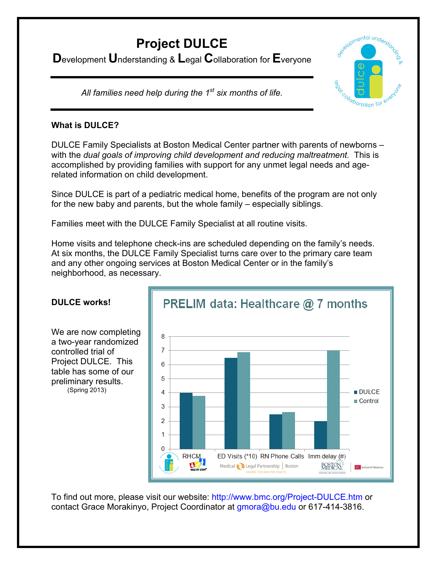# **Project DULCE**

**D**evelopment **U**nderstanding & **L**egal **C**ollaboration for **E**veryone



*All families need help during the 1st six months of life.*

## **What is DULCE?**

DULCE Family Specialists at Boston Medical Center partner with parents of newborns – with the *dual goals of improving child development and reducing maltreatment.* This is accomplished by providing families with support for any unmet legal needs and agerelated information on child development.

Since DULCE is part of a pediatric medical home, benefits of the program are not only for the new baby and parents, but the whole family – especially siblings.

Families meet with the DULCE Family Specialist at all routine visits.

Home visits and telephone check-ins are scheduled depending on the family's needs. At six months, the DULCE Family Specialist turns care over to the primary care team and any other ongoing services at Boston Medical Center or in the family's neighborhood, as necessary.



## **DULCE works!**

We are now completing a two-year randomized controlled trial of Project DULCE. This table has some of our preliminary results. (Spring 2013)

To find out more, please visit our website: http://www.bmc.org/Project-DULCE.htm or contact Grace Morakinyo, Project Coordinator at gmora@bu.edu or 617-414-3816.